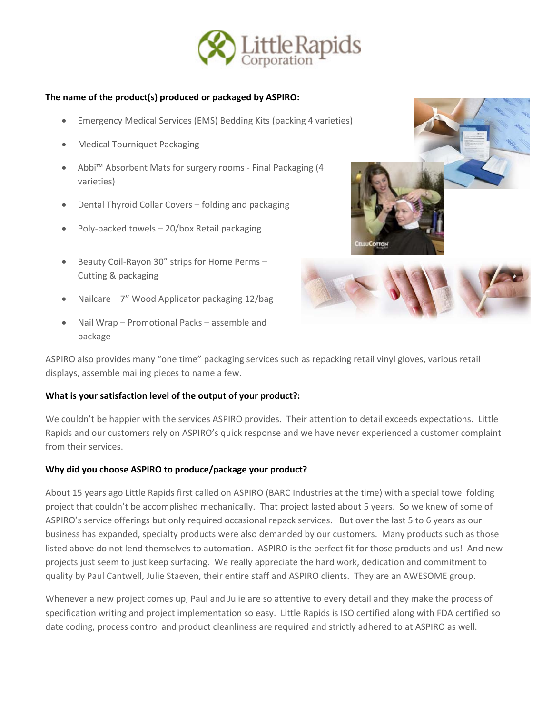

## **The name of the product(s) produced or packaged by ASPIRO:**

- Emergency Medical Services (EMS) Bedding Kits (packing 4 varieties)
- Medical Tourniquet Packaging
- Abbi™ Absorbent Mats for surgery rooms ‐ Final Packaging (4 varieties)
- Dental Thyroid Collar Covers folding and packaging
- Poly‐backed towels 20/box Retail packaging
- Beauty Coil‐Rayon 30" strips for Home Perms Cutting & packaging
- Nailcare 7" Wood Applicator packaging 12/bag
- Nail Wrap Promotional Packs assemble and package





ASPIRO also provides many "one time" packaging services such as repacking retail vinyl gloves, various retail displays, assemble mailing pieces to name a few.

## **What is your satisfaction level of the output of your product?:**

We couldn't be happier with the services ASPIRO provides. Their attention to detail exceeds expectations. Little Rapids and our customers rely on ASPIRO's quick response and we have never experienced a customer complaint from their services.

## **Why did you choose ASPIRO to produce/package your product?**

About 15 years ago Little Rapids first called on ASPIRO (BARC Industries at the time) with a special towel folding project that couldn't be accomplished mechanically. That project lasted about 5 years. So we knew of some of ASPIRO's service offerings but only required occasional repack services. But over the last 5 to 6 years as our business has expanded, specialty products were also demanded by our customers. Many products such as those listed above do not lend themselves to automation. ASPIRO is the perfect fit for those products and us! And new projects just seem to just keep surfacing. We really appreciate the hard work, dedication and commitment to quality by Paul Cantwell, Julie Staeven, their entire staff and ASPIRO clients. They are an AWESOME group.

Whenever a new project comes up, Paul and Julie are so attentive to every detail and they make the process of specification writing and project implementation so easy. Little Rapids is ISO certified along with FDA certified so date coding, process control and product cleanliness are required and strictly adhered to at ASPIRO as well.